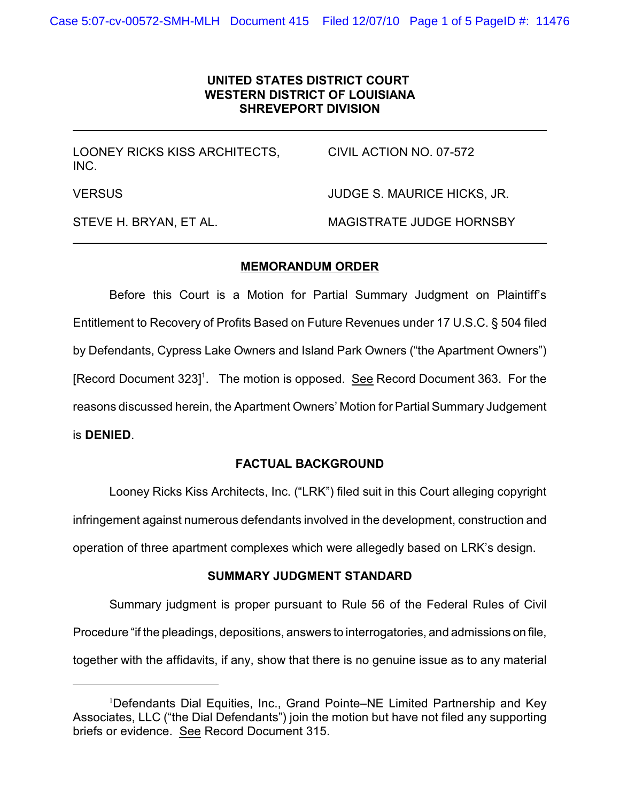# **UNITED STATES DISTRICT COURT WESTERN DISTRICT OF LOUISIANA SHREVEPORT DIVISION**

LOONEY RICKS KISS ARCHITECTS, CIVIL ACTION NO. 07-572 INC. VERSUS JUDGE S. MAURICE HICKS, JR. STEVE H. BRYAN, ET AL. MAGISTRATE JUDGE HORNSBY

### **MEMORANDUM ORDER**

Before this Court is a Motion for Partial Summary Judgment on Plaintiff's Entitlement to Recovery of Profits Based on Future Revenues under 17 U.S.C. § 504 filed by Defendants, Cypress Lake Owners and Island Park Owners ("the Apartment Owners") [Record Document 323]<sup>1</sup>. The motion is opposed. See Record Document 363. For the reasons discussed herein, the Apartment Owners' Motion for Partial Summary Judgement is **DENIED**.

# **FACTUAL BACKGROUND**

Looney Ricks Kiss Architects, Inc. ("LRK") filed suit in this Court alleging copyright infringement against numerous defendants involved in the development, construction and operation of three apartment complexes which were allegedly based on LRK's design.

#### **SUMMARY JUDGMENT STANDARD**

Summary judgment is proper pursuant to Rule 56 of the Federal Rules of Civil Procedure "if the pleadings, depositions, answers to interrogatories, and admissions on file, together with the affidavits, if any, show that there is no genuine issue as to any material

<sup>&</sup>lt;sup>1</sup>Defendants Dial Equities, Inc., Grand Pointe–NE Limited Partnership and Key Associates, LLC ("the Dial Defendants") join the motion but have not filed any supporting briefs or evidence. See Record Document 315.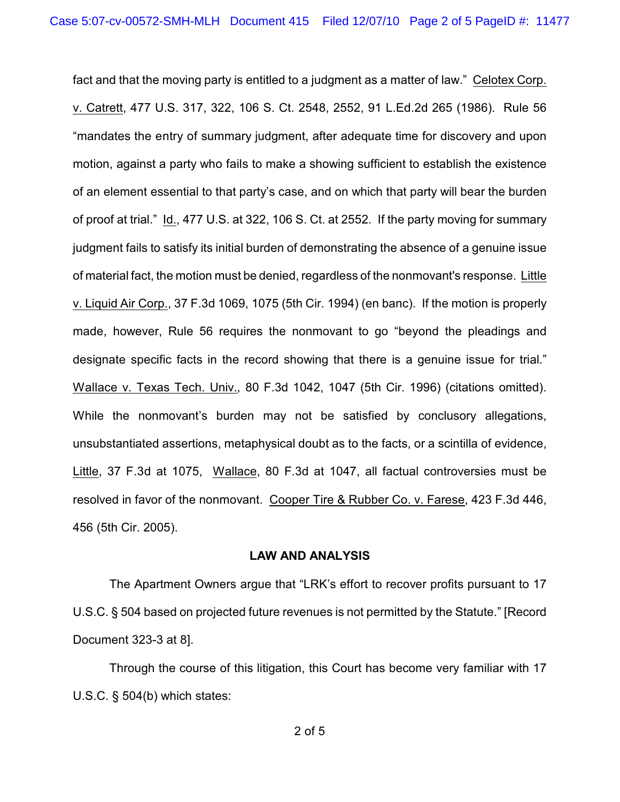fact and that the moving party is entitled to a judgment as a matter of law." Celotex Corp. v. Catrett, 477 U.S. 317, 322, 106 S. Ct. 2548, 2552, 91 L.Ed.2d 265 (1986). Rule 56 "mandates the entry of summary judgment, after adequate time for discovery and upon motion, against a party who fails to make a showing sufficient to establish the existence of an element essential to that party's case, and on which that party will bear the burden of proof at trial." Id., 477 U.S. at 322, 106 S. Ct. at 2552. If the party moving for summary judgment fails to satisfy its initial burden of demonstrating the absence of a genuine issue of material fact, the motion must be denied, regardless of the nonmovant's response. Little v. Liquid Air Corp., 37 F.3d 1069, 1075 (5th Cir. 1994) (en banc). If the motion is properly made, however, Rule 56 requires the nonmovant to go "beyond the pleadings and designate specific facts in the record showing that there is a genuine issue for trial." Wallace v. Texas Tech. Univ.*,* 80 F.3d 1042, 1047 (5th Cir. 1996) (citations omitted). While the nonmovant's burden may not be satisfied by conclusory allegations, unsubstantiated assertions, metaphysical doubt as to the facts, or a scintilla of evidence, Little, 37 F.3d at 1075, Wallace, 80 F.3d at 1047, all factual controversies must be resolved in favor of the nonmovant. Cooper Tire & Rubber Co. v. Farese, 423 F.3d 446, 456 (5th Cir. 2005).

#### **LAW AND ANALYSIS**

The Apartment Owners argue that "LRK's effort to recover profits pursuant to 17 U.S.C. § 504 based on projected future revenues is not permitted by the Statute." [Record Document 323-3 at 8].

Through the course of this litigation, this Court has become very familiar with 17 U.S.C. § 504(b) which states: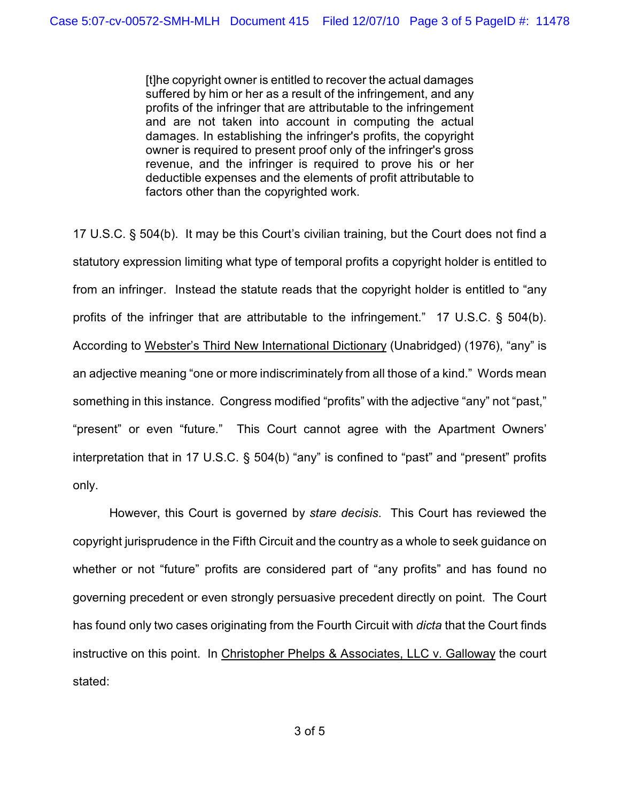[t]he copyright owner is entitled to recover the actual damages suffered by him or her as a result of the infringement, and any profits of the infringer that are attributable to the infringement and are not taken into account in computing the actual damages. In establishing the infringer's profits, the copyright owner is required to present proof only of the infringer's gross revenue, and the infringer is required to prove his or her deductible expenses and the elements of profit attributable to factors other than the copyrighted work.

17 U.S.C. § 504(b). It may be this Court's civilian training, but the Court does not find a statutory expression limiting what type of temporal profits a copyright holder is entitled to from an infringer. Instead the statute reads that the copyright holder is entitled to "any profits of the infringer that are attributable to the infringement." 17 U.S.C. § 504(b). According to Webster's Third New International Dictionary (Unabridged) (1976), "any" is an adjective meaning "one or more indiscriminately from all those of a kind." Words mean something in this instance. Congress modified "profits" with the adjective "any" not "past," "present" or even "future." This Court cannot agree with the Apartment Owners' interpretation that in 17 U.S.C. § 504(b) "any" is confined to "past" and "present" profits only.

However, this Court is governed by *stare decisis*. This Court has reviewed the copyright jurisprudence in the Fifth Circuit and the country as a whole to seek guidance on whether or not "future" profits are considered part of "any profits" and has found no governing precedent or even strongly persuasive precedent directly on point. The Court has found only two cases originating from the Fourth Circuit with *dicta* that the Court finds instructive on this point. In Christopher Phelps & Associates, LLC v. Galloway the court stated: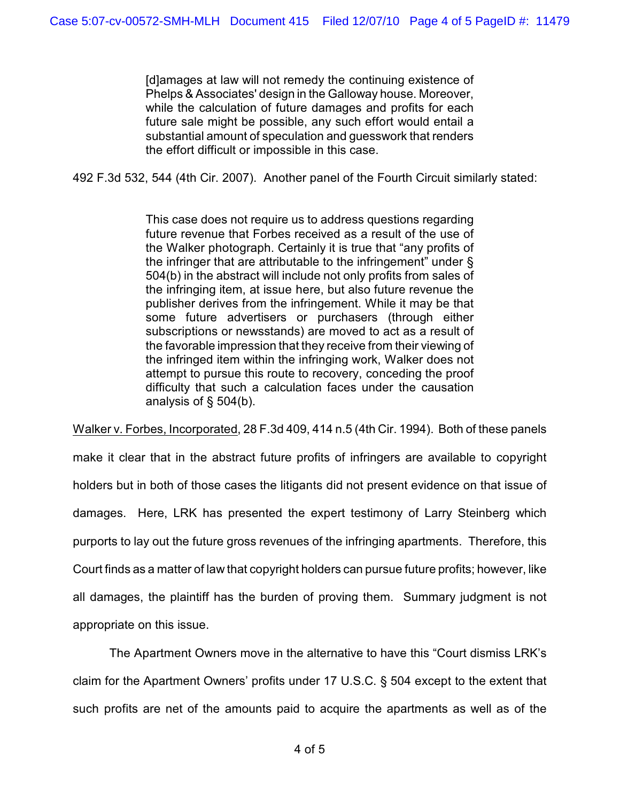[d]amages at law will not remedy the continuing existence of Phelps & Associates' design in the Galloway house. Moreover, while the calculation of future damages and profits for each future sale might be possible, any such effort would entail a substantial amount of speculation and guesswork that renders the effort difficult or impossible in this case.

492 F.3d 532, 544 (4th Cir. 2007). Another panel of the Fourth Circuit similarly stated:

This case does not require us to address questions regarding future revenue that Forbes received as a result of the use of the Walker photograph. Certainly it is true that "any profits of the infringer that are attributable to the infringement" under § 504(b) in the abstract will include not only profits from sales of the infringing item, at issue here, but also future revenue the publisher derives from the infringement. While it may be that some future advertisers or purchasers (through either subscriptions or newsstands) are moved to act as a result of the favorable impression that they receive from their viewing of the infringed item within the infringing work, Walker does not attempt to pursue this route to recovery, conceding the proof difficulty that such a calculation faces under the causation analysis of § 504(b).

Walker v. Forbes, Incorporated, 28 F.3d 409, 414 n.5 (4th Cir. 1994). Both of these panels

make it clear that in the abstract future profits of infringers are available to copyright holders but in both of those cases the litigants did not present evidence on that issue of damages. Here, LRK has presented the expert testimony of Larry Steinberg which purports to lay out the future gross revenues of the infringing apartments. Therefore, this Court finds as a matter of law that copyright holders can pursue future profits; however, like all damages, the plaintiff has the burden of proving them. Summary judgment is not appropriate on this issue.

The Apartment Owners move in the alternative to have this "Court dismiss LRK's claim for the Apartment Owners' profits under 17 U.S.C. § 504 except to the extent that such profits are net of the amounts paid to acquire the apartments as well as of the